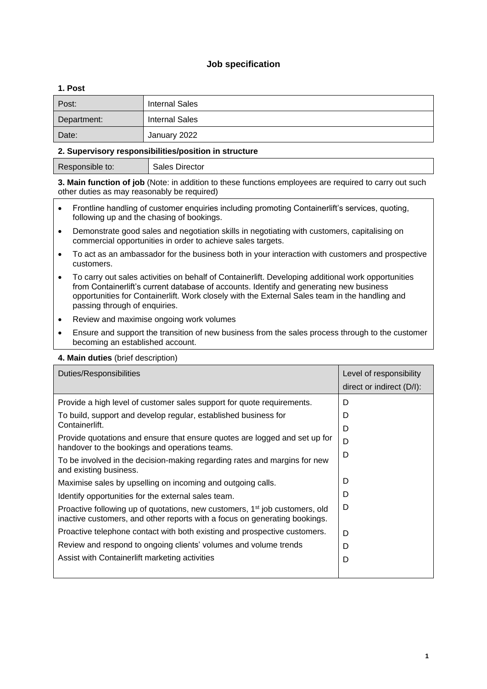## **Job specification**

### **1. Post**

| Post:       | Internal Sales        |
|-------------|-----------------------|
| Department: | <b>Internal Sales</b> |
| Date:       | January 2022          |

### **2. Supervisory responsibilities/position in structure**

| Responsible to: | Sales Director |
|-----------------|----------------|
|                 |                |
|                 |                |

**3. Main function of job** (Note: in addition to these functions employees are required to carry out such other duties as may reasonably be required)

- Frontline handling of customer enquiries including promoting Containerlift's services, quoting, following up and the chasing of bookings.
- Demonstrate good sales and negotiation skills in negotiating with customers, capitalising on commercial opportunities in order to achieve sales targets.
- To act as an ambassador for the business both in your interaction with customers and prospective customers.
- To carry out sales activities on behalf of Containerlift. Developing additional work opportunities from Containerlift's current database of accounts. Identify and generating new business opportunities for Containerlift. Work closely with the External Sales team in the handling and passing through of enquiries.
- Review and maximise ongoing work volumes
- Ensure and support the transition of new business from the sales process through to the customer becoming an established account.

#### **4. Main duties** (brief description)

| Duties/Responsibilities                                                                                                                                               | Level of responsibility   |  |
|-----------------------------------------------------------------------------------------------------------------------------------------------------------------------|---------------------------|--|
|                                                                                                                                                                       | direct or indirect (D/I): |  |
| Provide a high level of customer sales support for quote requirements.                                                                                                | D                         |  |
| To build, support and develop regular, established business for                                                                                                       | D                         |  |
| Containerlift.                                                                                                                                                        | D                         |  |
| Provide quotations and ensure that ensure quotes are logged and set up for<br>handover to the bookings and operations teams.                                          | D                         |  |
| To be involved in the decision-making regarding rates and margins for new<br>and existing business.                                                                   | D                         |  |
| Maximise sales by upselling on incoming and outgoing calls.                                                                                                           | D                         |  |
| Identify opportunities for the external sales team.                                                                                                                   | D                         |  |
| Proactive following up of quotations, new customers, 1 <sup>st</sup> job customers, old<br>inactive customers, and other reports with a focus on generating bookings. | D                         |  |
| Proactive telephone contact with both existing and prospective customers.                                                                                             | D                         |  |
| Review and respond to ongoing clients' volumes and volume trends                                                                                                      | D                         |  |
| Assist with Containerlift marketing activities                                                                                                                        | D                         |  |
|                                                                                                                                                                       |                           |  |